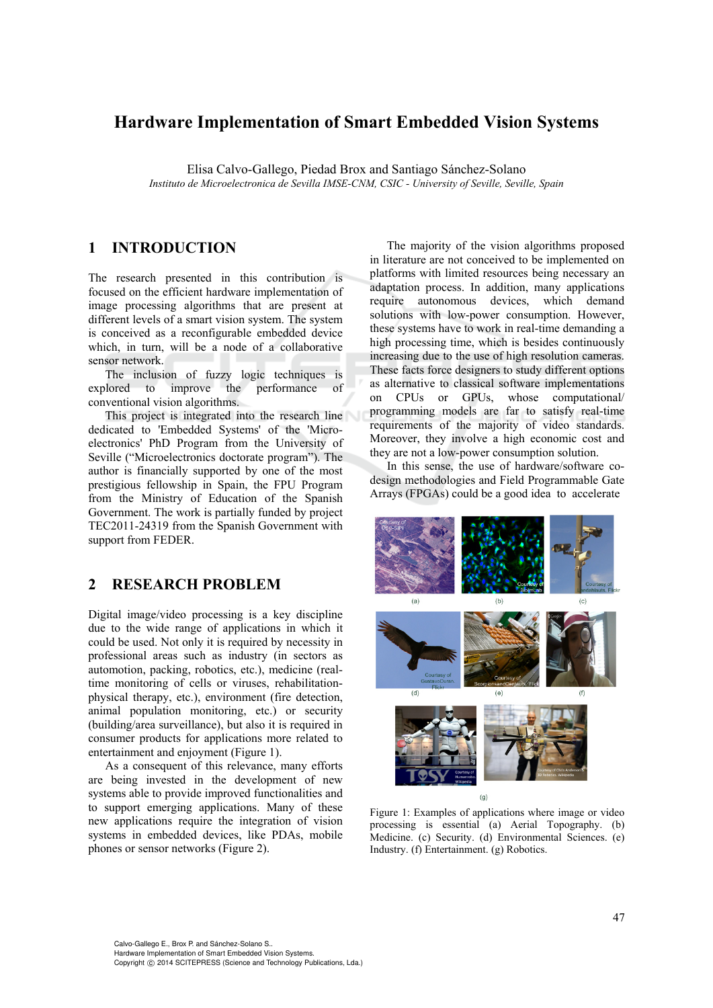## **Hardware Implementation of Smart Embedded Vision Systems**

Elisa Calvo-Gallego, Piedad Brox and Santiago Sánchez-Solano *Instituto de Microelectronica de Sevilla IMSE-CNM, CSIC - University of Seville, Seville, Spain* 

### **1 INTRODUCTION**

The research presented in this contribution is focused on the efficient hardware implementation of image processing algorithms that are present at different levels of a smart vision system. The system is conceived as a reconfigurable embedded device which, in turn, will be a node of a collaborative sensor network.

The inclusion of fuzzy logic techniques is explored to improve the performance of conventional vision algorithms.

This project is integrated into the research line dedicated to 'Embedded Systems' of the 'Microelectronics' PhD Program from the University of Seville ("Microelectronics doctorate program"). The author is financially supported by one of the most prestigious fellowship in Spain, the FPU Program from the Ministry of Education of the Spanish Government. The work is partially funded by project TEC2011-24319 from the Spanish Government with support from FEDER.

### **2 RESEARCH PROBLEM**

Digital image/video processing is a key discipline due to the wide range of applications in which it could be used. Not only it is required by necessity in professional areas such as industry (in sectors as automotion, packing, robotics, etc.), medicine (realtime monitoring of cells or viruses, rehabilitationphysical therapy, etc.), environment (fire detection, animal population monitoring, etc.) or security (building/area surveillance), but also it is required in consumer products for applications more related to entertainment and enjoyment (Figure 1).

As a consequent of this relevance, many efforts are being invested in the development of new systems able to provide improved functionalities and to support emerging applications. Many of these new applications require the integration of vision systems in embedded devices, like PDAs, mobile phones or sensor networks (Figure 2).

The majority of the vision algorithms proposed in literature are not conceived to be implemented on platforms with limited resources being necessary an adaptation process. In addition, many applications require autonomous devices, which demand solutions with low-power consumption. However, these systems have to work in real-time demanding a high processing time, which is besides continuously increasing due to the use of high resolution cameras. These facts force designers to study different options as alternative to classical software implementations on CPUs or GPUs, whose computational/ programming models are far to satisfy real-time requirements of the majority of video standards. Moreover, they involve a high economic cost and they are not a low-power consumption solution.

In this sense, the use of hardware/software codesign methodologies and Field Programmable Gate Arrays (FPGAs) could be a good idea to accelerate



Figure 1: Examples of applications where image or video processing is essential (a) Aerial Topography. (b) Medicine. (c) Security. (d) Environmental Sciences. (e) Industry. (f) Entertainment. (g) Robotics.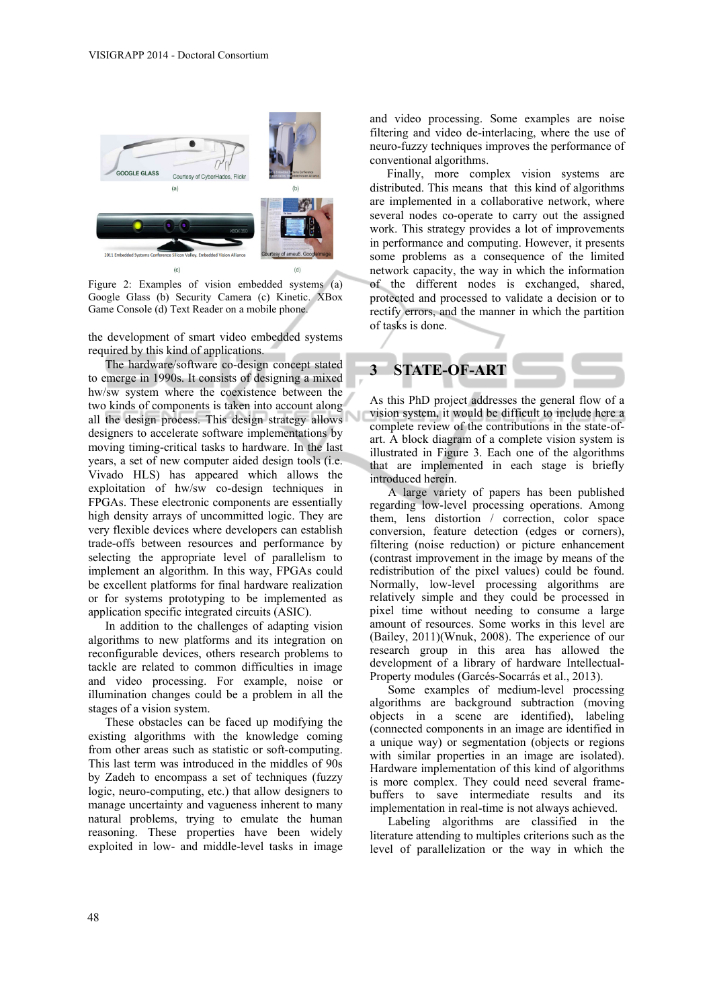

Figure 2: Examples of vision embedded systems (a) Google Glass (b) Security Camera (c) Kinetic. XBox Game Console (d) Text Reader on a mobile phone.

the development of smart video embedded systems required by this kind of applications.

The hardware/software co-design concept stated to emerge in 1990s. It consists of designing a mixed hw/sw system where the coexistence between the two kinds of components is taken into account along all the design process. This design strategy allows designers to accelerate software implementations by moving timing-critical tasks to hardware. In the last years, a set of new computer aided design tools (i.e. Vivado HLS) has appeared which allows the exploitation of hw/sw co-design techniques in FPGAs. These electronic components are essentially high density arrays of uncommitted logic. They are very flexible devices where developers can establish trade-offs between resources and performance by selecting the appropriate level of parallelism to implement an algorithm. In this way, FPGAs could be excellent platforms for final hardware realization or for systems prototyping to be implemented as application specific integrated circuits (ASIC).

In addition to the challenges of adapting vision algorithms to new platforms and its integration on reconfigurable devices, others research problems to tackle are related to common difficulties in image and video processing. For example, noise or illumination changes could be a problem in all the stages of a vision system.

These obstacles can be faced up modifying the existing algorithms with the knowledge coming from other areas such as statistic or soft-computing. This last term was introduced in the middles of 90s by Zadeh to encompass a set of techniques (fuzzy logic, neuro-computing, etc.) that allow designers to manage uncertainty and vagueness inherent to many natural problems, trying to emulate the human reasoning. These properties have been widely exploited in low- and middle-level tasks in image

and video processing. Some examples are noise filtering and video de-interlacing, where the use of neuro-fuzzy techniques improves the performance of conventional algorithms.

Finally, more complex vision systems are distributed. This means that this kind of algorithms are implemented in a collaborative network, where several nodes co-operate to carry out the assigned work. This strategy provides a lot of improvements in performance and computing. However, it presents some problems as a consequence of the limited network capacity, the way in which the information of the different nodes is exchanged, shared, protected and processed to validate a decision or to rectify errors, and the manner in which the partition of tasks is done.



As this PhD project addresses the general flow of a vision system, it would be difficult to include here a complete review of the contributions in the state-ofart. A block diagram of a complete vision system is illustrated in Figure 3. Each one of the algorithms that are implemented in each stage is briefly introduced herein.

A large variety of papers has been published regarding low-level processing operations. Among them, lens distortion / correction, color space conversion, feature detection (edges or corners), filtering (noise reduction) or picture enhancement (contrast improvement in the image by means of the redistribution of the pixel values) could be found. Normally, low-level processing algorithms are relatively simple and they could be processed in pixel time without needing to consume a large amount of resources. Some works in this level are (Bailey, 2011)(Wnuk, 2008). The experience of our research group in this area has allowed the development of a library of hardware Intellectual-Property modules (Garcés-Socarrás et al., 2013).

Some examples of medium-level processing algorithms are background subtraction (moving objects in a scene are identified), labeling (connected components in an image are identified in a unique way) or segmentation (objects or regions with similar properties in an image are isolated). Hardware implementation of this kind of algorithms is more complex. They could need several framebuffers to save intermediate results and its implementation in real-time is not always achieved.

Labeling algorithms are classified in the literature attending to multiples criterions such as the level of parallelization or the way in which the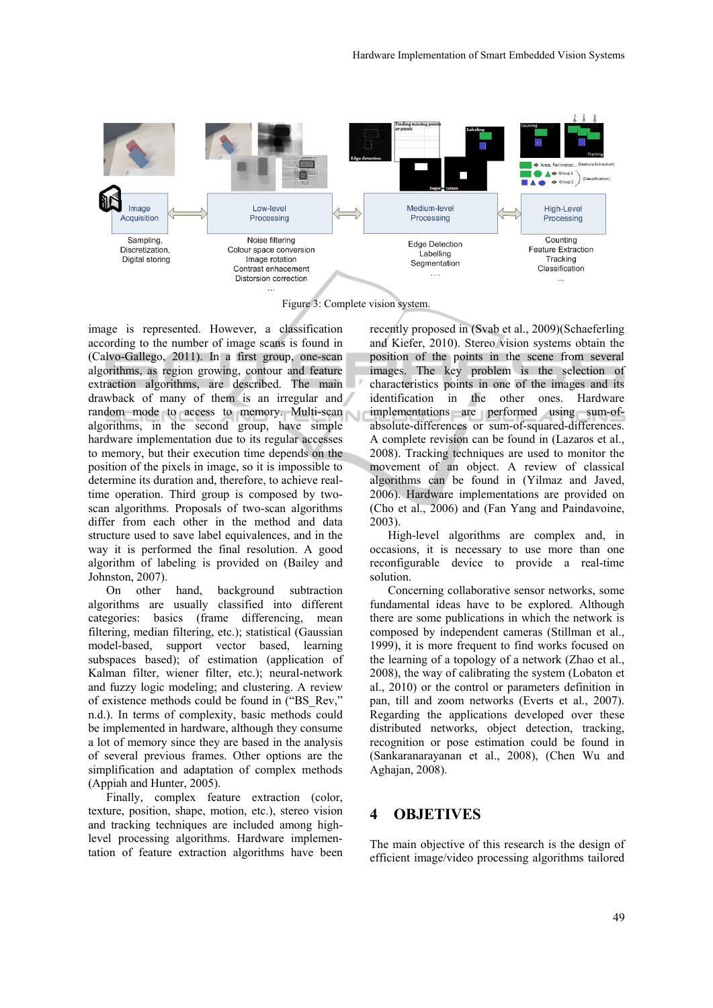

Figure 3: Complete vision system.

image is represented. However, a classification according to the number of image scans is found in (Calvo-Gallego, 2011). In a first group, one-scan algorithms, as region growing, contour and feature extraction algorithms, are described. The main drawback of many of them is an irregular and random mode to access to memory. Multi-scan algorithms, in the second group, have simple hardware implementation due to its regular accesses to memory, but their execution time depends on the position of the pixels in image, so it is impossible to determine its duration and, therefore, to achieve realtime operation. Third group is composed by twoscan algorithms. Proposals of two-scan algorithms differ from each other in the method and data structure used to save label equivalences, and in the way it is performed the final resolution. A good algorithm of labeling is provided on (Bailey and Johnston, 2007).

On other hand, background subtraction algorithms are usually classified into different categories: basics (frame differencing, mean filtering, median filtering, etc.); statistical (Gaussian model-based, support vector based, learning subspaces based); of estimation (application of Kalman filter, wiener filter, etc.); neural-network and fuzzy logic modeling; and clustering. A review of existence methods could be found in ("BS\_Rev," n.d.). In terms of complexity, basic methods could be implemented in hardware, although they consume a lot of memory since they are based in the analysis of several previous frames. Other options are the simplification and adaptation of complex methods (Appiah and Hunter, 2005).

Finally, complex feature extraction (color, texture, position, shape, motion, etc.), stereo vision and tracking techniques are included among highlevel processing algorithms. Hardware implementation of feature extraction algorithms have been

recently proposed in (Svab et al., 2009)(Schaeferling and Kiefer, 2010). Stereo vision systems obtain the position of the points in the scene from several images. The key problem is the selection of characteristics points in one of the images and its identification in the other ones. Hardware implementations are performed using sum-ofabsolute-differences or sum-of-squared-differences. A complete revision can be found in (Lazaros et al., 2008). Tracking techniques are used to monitor the movement of an object. A review of classical algorithms can be found in (Yilmaz and Javed, 2006). Hardware implementations are provided on (Cho et al., 2006) and (Fan Yang and Paindavoine, 2003).

High-level algorithms are complex and, in occasions, it is necessary to use more than one reconfigurable device to provide a real-time solution.

Concerning collaborative sensor networks, some fundamental ideas have to be explored. Although there are some publications in which the network is composed by independent cameras (Stillman et al., 1999), it is more frequent to find works focused on the learning of a topology of a network (Zhao et al., 2008), the way of calibrating the system (Lobaton et al., 2010) or the control or parameters definition in pan, till and zoom networks (Everts et al., 2007). Regarding the applications developed over these distributed networks, object detection, tracking, recognition or pose estimation could be found in (Sankaranarayanan et al., 2008), (Chen Wu and Aghajan, 2008).

### **4 OBJETIVES**

The main objective of this research is the design of efficient image/video processing algorithms tailored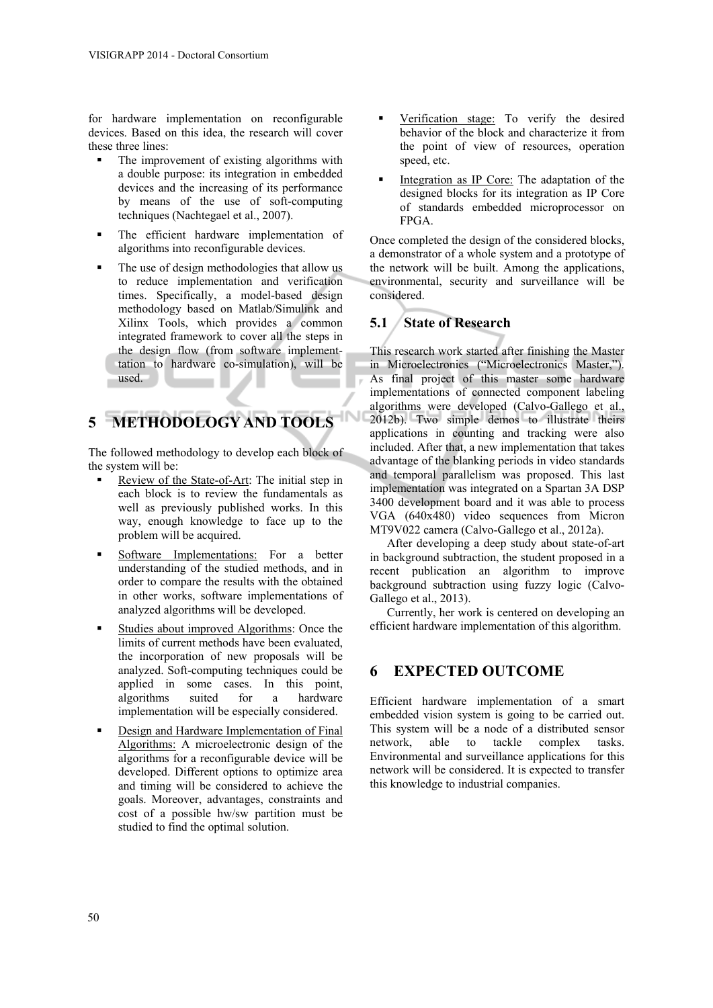for hardware implementation on reconfigurable devices. Based on this idea, the research will cover these three lines:

- The improvement of existing algorithms with a double purpose: its integration in embedded devices and the increasing of its performance by means of the use of soft-computing techniques (Nachtegael et al., 2007).
- The efficient hardware implementation of algorithms into reconfigurable devices.
- The use of design methodologies that allow us to reduce implementation and verification times. Specifically, a model-based design methodology based on Matlab/Simulink and Xilinx Tools, which provides a common integrated framework to cover all the steps in the design flow (from software implementtation to hardware co-simulation), will be used.

# **5 METHODOLOGY AND TOOLS**

The followed methodology to develop each block of the system will be:

- Review of the State-of-Art: The initial step in each block is to review the fundamentals as well as previously published works. In this way, enough knowledge to face up to the problem will be acquired.
- Software Implementations: For a better understanding of the studied methods, and in order to compare the results with the obtained in other works, software implementations of analyzed algorithms will be developed.
- Studies about improved Algorithms: Once the limits of current methods have been evaluated, the incorporation of new proposals will be analyzed. Soft-computing techniques could be applied in some cases. In this point, algorithms suited for a hardware implementation will be especially considered.
- Design and Hardware Implementation of Final Algorithms: A microelectronic design of the algorithms for a reconfigurable device will be developed. Different options to optimize area and timing will be considered to achieve the goals. Moreover, advantages, constraints and cost of a possible hw/sw partition must be studied to find the optimal solution.
- Verification stage: To verify the desired behavior of the block and characterize it from the point of view of resources, operation speed, etc.
- Integration as IP Core: The adaptation of the designed blocks for its integration as IP Core of standards embedded microprocessor on FPGA.

Once completed the design of the considered blocks, a demonstrator of a whole system and a prototype of the network will be built. Among the applications, environmental, security and surveillance will be considered.

### **5.1 State of Research**

This research work started after finishing the Master in Microelectronics ("Microelectronics Master,"). As final project of this master some hardware implementations of connected component labeling algorithms were developed (Calvo-Gallego et al., 2012b). Two simple demos to illustrate theirs applications in counting and tracking were also included. After that, a new implementation that takes advantage of the blanking periods in video standards and temporal parallelism was proposed. This last implementation was integrated on a Spartan 3A DSP 3400 development board and it was able to process VGA (640x480) video sequences from Micron MT9V022 camera (Calvo-Gallego et al., 2012a).

After developing a deep study about state-of-art in background subtraction, the student proposed in a recent publication an algorithm to improve background subtraction using fuzzy logic (Calvo-Gallego et al., 2013).

Currently, her work is centered on developing an efficient hardware implementation of this algorithm.

### **6 EXPECTED OUTCOME**

Efficient hardware implementation of a smart embedded vision system is going to be carried out. This system will be a node of a distributed sensor network, able to tackle complex tasks. Environmental and surveillance applications for this network will be considered. It is expected to transfer this knowledge to industrial companies.